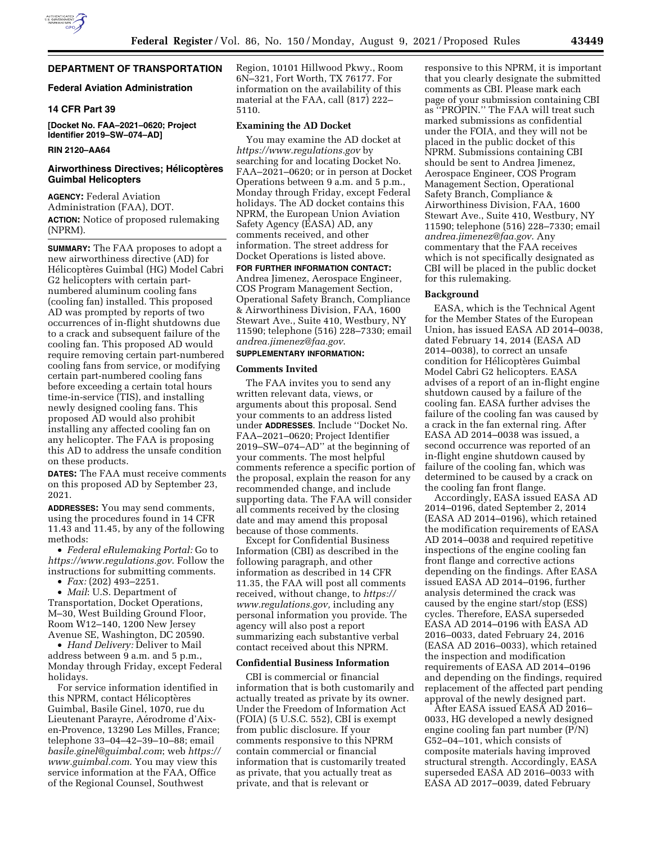# **DEPARTMENT OF TRANSPORTATION**

# **Federal Aviation Administration**

## **14 CFR Part 39**

**[Docket No. FAA–2021–0620; Project Identifier 2019–SW–074–AD]** 

# **RIN 2120–AA64**

## **Airworthiness Directives; Hélicoptères Guimbal Helicopters**

**AGENCY:** Federal Aviation Administration (FAA), DOT. **ACTION:** Notice of proposed rulemaking (NPRM).

**SUMMARY:** The FAA proposes to adopt a new airworthiness directive (AD) for Hélicoptères Guimbal (HG) Model Cabri G2 helicopters with certain partnumbered aluminum cooling fans (cooling fan) installed. This proposed AD was prompted by reports of two occurrences of in-flight shutdowns due to a crack and subsequent failure of the cooling fan. This proposed AD would require removing certain part-numbered cooling fans from service, or modifying certain part-numbered cooling fans before exceeding a certain total hours time-in-service (TIS), and installing newly designed cooling fans. This proposed AD would also prohibit installing any affected cooling fan on any helicopter. The FAA is proposing this AD to address the unsafe condition on these products.

**DATES:** The FAA must receive comments on this proposed AD by September 23, 2021.

**ADDRESSES:** You may send comments, using the procedures found in 14 CFR 11.43 and 11.45, by any of the following methods:

• *Federal eRulemaking Portal:* Go to *<https://www.regulations.gov>*. Follow the instructions for submitting comments.

• *Fax:* (202) 493–2251.

• *Mail*: U.S. Department of Transportation, Docket Operations, M–30, West Building Ground Floor, Room W12–140, 1200 New Jersey Avenue SE, Washington, DC 20590.

• *Hand Delivery:* Deliver to Mail address between 9 a.m. and 5 p.m., Monday through Friday, except Federal holidays.

For service information identified in this NPRM, contact Hélicoptères Guimbal, Basile Ginel, 1070, rue du Lieutenant Parayre, Aérodrome d'Aixen-Provence, 13290 Les Milles, France; telephone 33–04–42–39–10–88; email *[basile.ginel@guimbal.com](mailto:basile.ginel@guimbal.com)*; web *[https://](https://www.guimbal.com) [www.guimbal.com](https://www.guimbal.com)*. You may view this service information at the FAA, Office of the Regional Counsel, Southwest

Region, 10101 Hillwood Pkwy., Room 6N–321, Fort Worth, TX 76177. For information on the availability of this material at the FAA, call (817) 222– 5110.

## **Examining the AD Docket**

You may examine the AD docket at *<https://www.regulations.gov>* by searching for and locating Docket No. FAA–2021–0620; or in person at Docket Operations between 9 a.m. and 5 p.m., Monday through Friday, except Federal holidays. The AD docket contains this NPRM, the European Union Aviation Safety Agency (EASA) AD, any comments received, and other information. The street address for Docket Operations is listed above.

**FOR FURTHER INFORMATION CONTACT:**  Andrea Jimenez, Aerospace Engineer, COS Program Management Section, Operational Safety Branch, Compliance & Airworthiness Division, FAA, 1600 Stewart Ave., Suite 410, Westbury, NY 11590; telephone (516) 228–7330; email *[andrea.jimenez@faa.gov](mailto:andrea.jimenez@faa.gov)*.

## **SUPPLEMENTARY INFORMATION:**

#### **Comments Invited**

The FAA invites you to send any written relevant data, views, or arguments about this proposal. Send your comments to an address listed under **ADDRESSES**. Include ''Docket No. FAA–2021–0620; Project Identifier 2019–SW–074–AD'' at the beginning of your comments. The most helpful comments reference a specific portion of the proposal, explain the reason for any recommended change, and include supporting data. The FAA will consider all comments received by the closing date and may amend this proposal because of those comments.

Except for Confidential Business Information (CBI) as described in the following paragraph, and other information as described in 14 CFR 11.35, the FAA will post all comments received, without change, to *[https://](https://www.regulations.gov) [www.regulations.gov,](https://www.regulations.gov)* including any personal information you provide. The agency will also post a report summarizing each substantive verbal contact received about this NPRM.

### **Confidential Business Information**

CBI is commercial or financial information that is both customarily and actually treated as private by its owner. Under the Freedom of Information Act (FOIA) (5 U.S.C. 552), CBI is exempt from public disclosure. If your comments responsive to this NPRM contain commercial or financial information that is customarily treated as private, that you actually treat as private, and that is relevant or

responsive to this NPRM, it is important that you clearly designate the submitted comments as CBI. Please mark each page of your submission containing CBI as ''PROPIN.'' The FAA will treat such marked submissions as confidential under the FOIA, and they will not be placed in the public docket of this NPRM. Submissions containing CBI should be sent to Andrea Jimenez, Aerospace Engineer, COS Program Management Section, Operational Safety Branch, Compliance & Airworthiness Division, FAA, 1600 Stewart Ave., Suite 410, Westbury, NY 11590; telephone (516) 228–7330; email *[andrea.jimenez@faa.gov](mailto:andrea.jimenez@faa.gov)*. Any commentary that the FAA receives which is not specifically designated as CBI will be placed in the public docket for this rulemaking.

#### **Background**

EASA, which is the Technical Agent for the Member States of the European Union, has issued EASA AD 2014–0038, dated February 14, 2014 (EASA AD 2014–0038), to correct an unsafe condition for Hélicoptères Guimbal Model Cabri G2 helicopters. EASA advises of a report of an in-flight engine shutdown caused by a failure of the cooling fan. EASA further advises the failure of the cooling fan was caused by a crack in the fan external ring. After EASA AD 2014–0038 was issued, a second occurrence was reported of an in-flight engine shutdown caused by failure of the cooling fan, which was determined to be caused by a crack on the cooling fan front flange.

Accordingly, EASA issued EASA AD 2014–0196, dated September 2, 2014 (EASA AD 2014–0196), which retained the modification requirements of EASA AD 2014–0038 and required repetitive inspections of the engine cooling fan front flange and corrective actions depending on the findings. After EASA issued EASA AD 2014–0196, further analysis determined the crack was caused by the engine start/stop (ESS) cycles. Therefore, EASA superseded EASA AD 2014–0196 with EASA AD 2016–0033, dated February 24, 2016 (EASA AD 2016–0033), which retained the inspection and modification requirements of EASA AD 2014–0196 and depending on the findings, required replacement of the affected part pending approval of the newly designed part.

After EASA issued EASA AD 2016– 0033, HG developed a newly designed engine cooling fan part number (P/N) G52–04–101, which consists of composite materials having improved structural strength. Accordingly, EASA superseded EASA AD 2016–0033 with EASA AD 2017–0039, dated February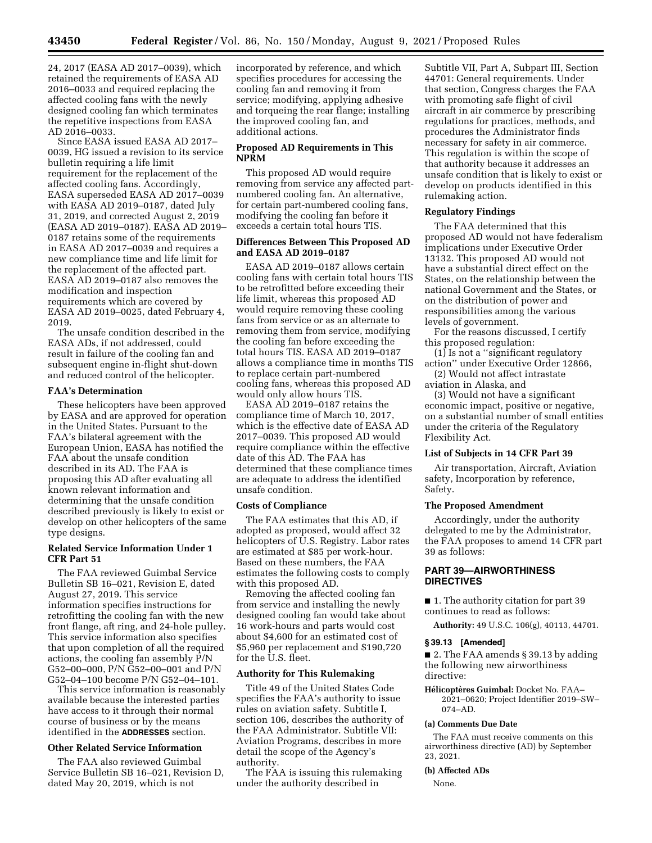24, 2017 (EASA AD 2017–0039), which retained the requirements of EASA AD 2016–0033 and required replacing the affected cooling fans with the newly designed cooling fan which terminates the repetitive inspections from EASA AD 2016–0033.

Since EASA issued EASA AD 2017– 0039, HG issued a revision to its service bulletin requiring a life limit requirement for the replacement of the affected cooling fans. Accordingly, EASA superseded EASA AD 2017–0039 with EASA AD 2019–0187, dated July 31, 2019, and corrected August 2, 2019 (EASA AD 2019–0187). EASA AD 2019– 0187 retains some of the requirements in EASA AD 2017–0039 and requires a new compliance time and life limit for the replacement of the affected part. EASA AD 2019–0187 also removes the modification and inspection requirements which are covered by EASA AD 2019–0025, dated February 4, 2019.

The unsafe condition described in the EASA ADs, if not addressed, could result in failure of the cooling fan and subsequent engine in-flight shut-down and reduced control of the helicopter.

### **FAA's Determination**

These helicopters have been approved by EASA and are approved for operation in the United States. Pursuant to the FAA's bilateral agreement with the European Union, EASA has notified the FAA about the unsafe condition described in its AD. The FAA is proposing this AD after evaluating all known relevant information and determining that the unsafe condition described previously is likely to exist or develop on other helicopters of the same type designs.

### **Related Service Information Under 1 CFR Part 51**

The FAA reviewed Guimbal Service Bulletin SB 16–021, Revision E, dated August 27, 2019. This service information specifies instructions for retrofitting the cooling fan with the new front flange, aft ring, and 24-hole pulley. This service information also specifies that upon completion of all the required actions, the cooling fan assembly P/N G52–00–000, P/N G52–00–001 and P/N G52–04–100 become P/N G52–04–101.

This service information is reasonably available because the interested parties have access to it through their normal course of business or by the means identified in the **ADDRESSES** section.

# **Other Related Service Information**

The FAA also reviewed Guimbal Service Bulletin SB 16–021, Revision D, dated May 20, 2019, which is not

incorporated by reference, and which specifies procedures for accessing the cooling fan and removing it from service; modifying, applying adhesive and torqueing the rear flange; installing the improved cooling fan, and additional actions.

## **Proposed AD Requirements in This NPRM**

This proposed AD would require removing from service any affected partnumbered cooling fan. An alternative, for certain part-numbered cooling fans, modifying the cooling fan before it exceeds a certain total hours TIS.

# **Differences Between This Proposed AD and EASA AD 2019–0187**

EASA AD 2019–0187 allows certain cooling fans with certain total hours TIS to be retrofitted before exceeding their life limit, whereas this proposed AD would require removing these cooling fans from service or as an alternate to removing them from service, modifying the cooling fan before exceeding the total hours TIS. EASA AD 2019–0187 allows a compliance time in months TIS to replace certain part-numbered cooling fans, whereas this proposed AD would only allow hours TIS.

EASA AD 2019–0187 retains the compliance time of March 10, 2017, which is the effective date of EASA AD 2017–0039. This proposed AD would require compliance within the effective date of this AD. The FAA has determined that these compliance times are adequate to address the identified unsafe condition.

### **Costs of Compliance**

The FAA estimates that this AD, if adopted as proposed, would affect 32 helicopters of U.S. Registry. Labor rates are estimated at \$85 per work-hour. Based on these numbers, the FAA estimates the following costs to comply with this proposed AD.

Removing the affected cooling fan from service and installing the newly designed cooling fan would take about 16 work-hours and parts would cost about \$4,600 for an estimated cost of \$5,960 per replacement and \$190,720 for the U.S. fleet.

## **Authority for This Rulemaking**

Title 49 of the United States Code specifies the FAA's authority to issue rules on aviation safety. Subtitle I, section 106, describes the authority of the FAA Administrator. Subtitle VII: Aviation Programs, describes in more detail the scope of the Agency's authority.

The FAA is issuing this rulemaking under the authority described in

Subtitle VII, Part A, Subpart III, Section 44701: General requirements. Under that section, Congress charges the FAA with promoting safe flight of civil aircraft in air commerce by prescribing regulations for practices, methods, and procedures the Administrator finds necessary for safety in air commerce. This regulation is within the scope of that authority because it addresses an unsafe condition that is likely to exist or develop on products identified in this rulemaking action.

## **Regulatory Findings**

The FAA determined that this proposed AD would not have federalism implications under Executive Order 13132. This proposed AD would not have a substantial direct effect on the States, on the relationship between the national Government and the States, or on the distribution of power and responsibilities among the various levels of government.

For the reasons discussed, I certify this proposed regulation:

(1) Is not a ''significant regulatory action'' under Executive Order 12866,

(2) Would not affect intrastate aviation in Alaska, and

(3) Would not have a significant economic impact, positive or negative, on a substantial number of small entities under the criteria of the Regulatory Flexibility Act.

#### **List of Subjects in 14 CFR Part 39**

Air transportation, Aircraft, Aviation safety, Incorporation by reference, Safety.

### **The Proposed Amendment**

Accordingly, under the authority delegated to me by the Administrator, the FAA proposes to amend 14 CFR part 39 as follows:

# **PART 39—AIRWORTHINESS DIRECTIVES**

■ 1. The authority citation for part 39 continues to read as follows:

**Authority:** 49 U.S.C. 106(g), 40113, 44701.

#### **§ 39.13 [Amended]**

■ 2. The FAA amends § 39.13 by adding the following new airworthiness directive:

Hélicoptères Guimbal: Docket No. FAA-2021–0620; Project Identifier 2019–SW– 074–AD.

## **(a) Comments Due Date**

The FAA must receive comments on this airworthiness directive (AD) by September 23, 2021.

### **(b) Affected ADs**

None.